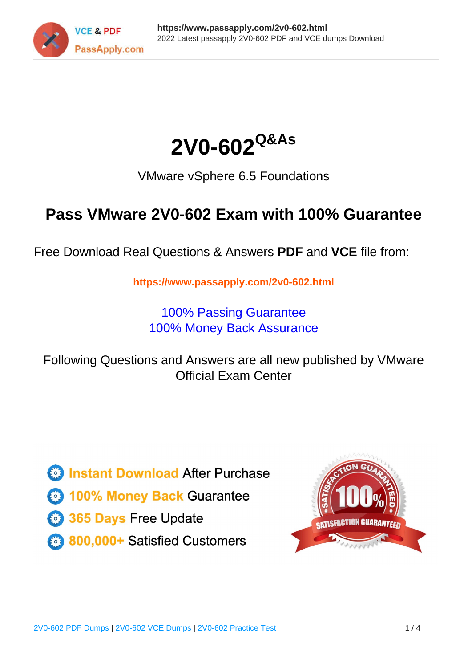



VMware vSphere 6.5 Foundations

# **Pass VMware 2V0-602 Exam with 100% Guarantee**

Free Download Real Questions & Answers **PDF** and **VCE** file from:

**https://www.passapply.com/2v0-602.html**

100% Passing Guarantee 100% Money Back Assurance

Following Questions and Answers are all new published by VMware Official Exam Center

**C** Instant Download After Purchase

**83 100% Money Back Guarantee** 

- 365 Days Free Update
- 800,000+ Satisfied Customers

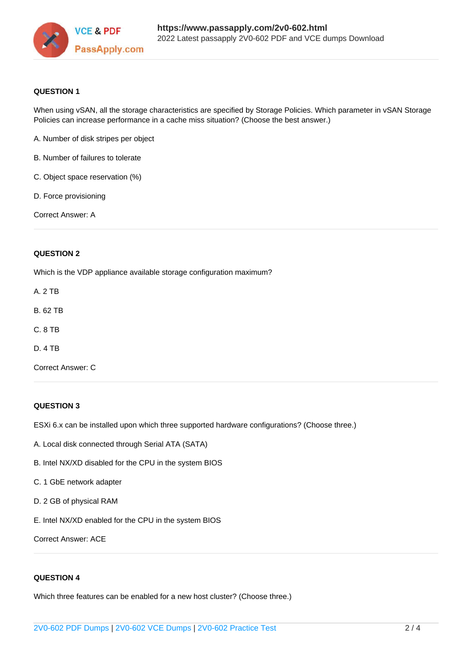

### **QUESTION 1**

When using vSAN, all the storage characteristics are specified by Storage Policies. Which parameter in vSAN Storage Policies can increase performance in a cache miss situation? (Choose the best answer.)

- A. Number of disk stripes per object
- B. Number of failures to tolerate
- C. Object space reservation (%)
- D. Force provisioning

Correct Answer: A

### **QUESTION 2**

Which is the VDP appliance available storage configuration maximum?

- A. 2 TB
- B. 62 TB
- C. 8 TB
- D. 4 TB
- Correct Answer: C

### **QUESTION 3**

ESXi 6.x can be installed upon which three supported hardware configurations? (Choose three.)

- A. Local disk connected through Serial ATA (SATA)
- B. Intel NX/XD disabled for the CPU in the system BIOS
- C. 1 GbE network adapter
- D. 2 GB of physical RAM
- E. Intel NX/XD enabled for the CPU in the system BIOS

Correct Answer: ACE

### **QUESTION 4**

Which three features can be enabled for a new host cluster? (Choose three.)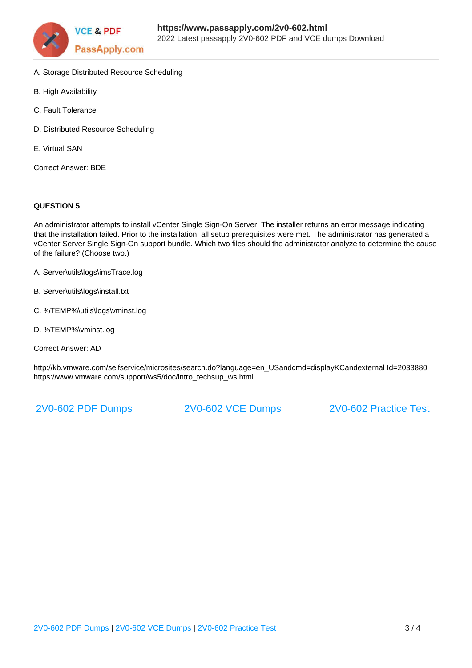

- A. Storage Distributed Resource Scheduling
- B. High Availability
- C. Fault Tolerance
- D. Distributed Resource Scheduling
- E. Virtual SAN

Correct Answer: BDE

### **QUESTION 5**

An administrator attempts to install vCenter Single Sign-On Server. The installer returns an error message indicating that the installation failed. Prior to the installation, all setup prerequisites were met. The administrator has generated a vCenter Server Single Sign-On support bundle. Which two files should the administrator analyze to determine the cause of the failure? (Choose two.)

- A. Server\utils\logs\imsTrace.log
- B. Server\utils\logs\install.txt
- C. %TEMP%\utils\logs\vminst.log
- D. %TEMP%\vminst.log

Correct Answer: AD

http://kb.vmware.com/selfservice/microsites/search.do?language=en\_USandcmd=displayKCandexternal Id=2033880 https://www.vmware.com/support/ws5/doc/intro\_techsup\_ws.html

[2V0-602 PDF Dumps](https://www.passapply.com/2v0-602.html) [2V0-602 VCE Dumps](https://www.passapply.com/2v0-602.html) [2V0-602 Practice Test](https://www.passapply.com/2v0-602.html)